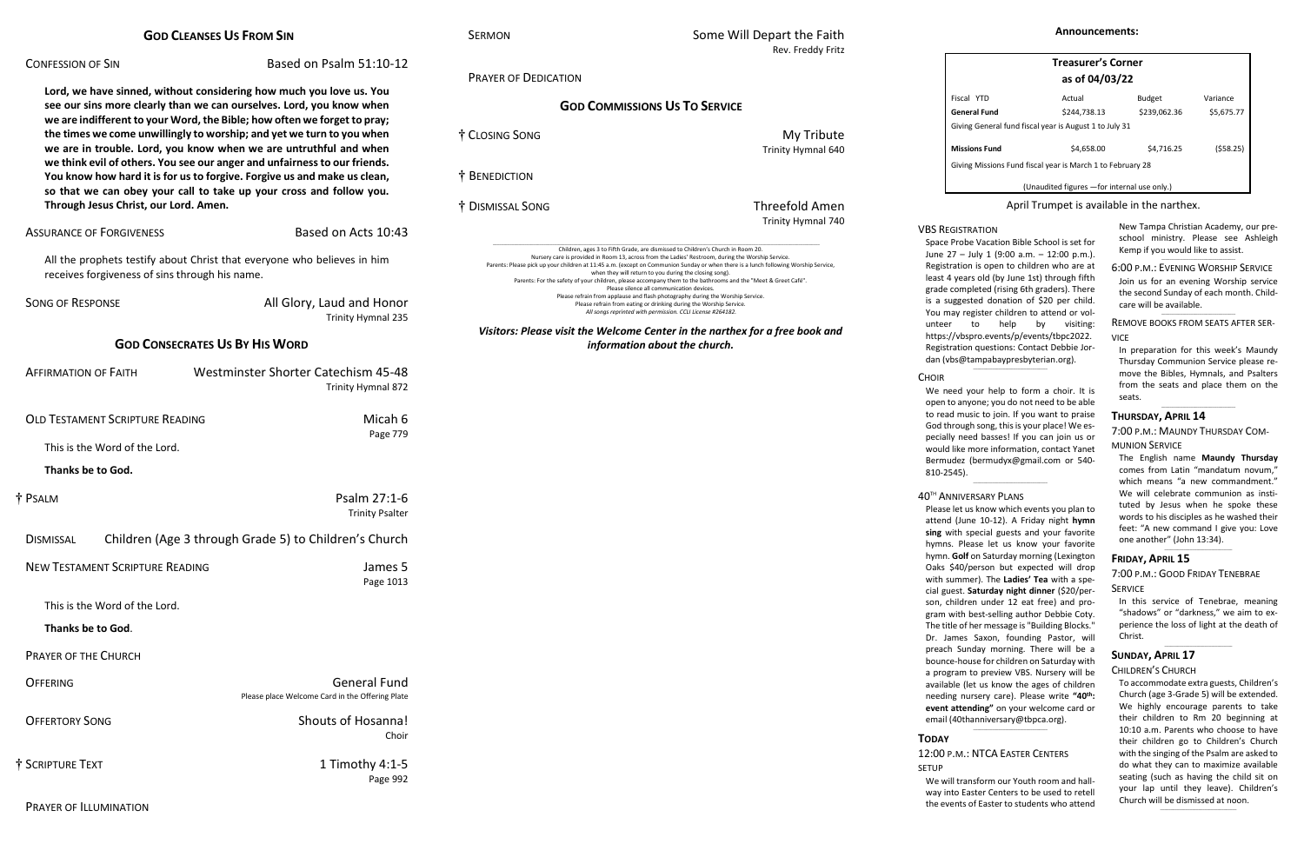| <b>GOD CLEANSES US FROM SIN</b> |  |
|---------------------------------|--|
|---------------------------------|--|

### CONFESSION OF SIN Based on Psalm 51:10-12

**Lord, we have sinned, without considering how much you love us. You see our sins more clearly than we can ourselves. Lord, you know when we are indifferent to your Word, the Bible; how often we forget to pray; the times we come unwillingly to worship; and yet we turn to you when we are in trouble. Lord, you know when we are untruthful and when we think evil of others. You see our anger and unfairness to our friends. You know how hard it is for us to forgive. Forgive us and make us clean, so that we can obey your call to take up your cross and follow you. Through Jesus Christ, our Lord. Amen.**

ASSURANCE OF FORGIVENESS Based on Acts 10:43

All the prophets testify about Christ that everyone who believes in him receives forgiveness of sins through his name.

SONG OF RESPONSE **All Glory, Laud and Honor** 

## SERMON SERMON SOME Will Depart the Faith Rev. Freddy Fritz

Trinity Hymnal 235

## **GOD CONSECRATES US BY HIS WORD**

| <b>Westminster Shorter Catechism 45-48</b><br>Trinity Hymnal 872       |                                        | <b>AFFIRMATION OF FAITH</b> |
|------------------------------------------------------------------------|----------------------------------------|-----------------------------|
| Micah 6<br>Page 779                                                    | <b>OLD TESTAMENT SCRIPTURE READING</b> |                             |
|                                                                        | This is the Word of the Lord.          |                             |
|                                                                        |                                        | <b>Thanks be to God.</b>    |
| Psalm 27:1-6<br><b>Trinity Psalter</b>                                 |                                        | † Psalm                     |
| Children (Age 3 through Grade 5) to Children's Church                  |                                        | <b>DISMISSAL</b>            |
| James 5<br>Page 1013                                                   | <b>NEW TESTAMENT SCRIPTURE READING</b> |                             |
|                                                                        | This is the Word of the Lord.          |                             |
|                                                                        |                                        | Thanks be to God.           |
|                                                                        |                                        | <b>PRAYER OF THE CHURCH</b> |
| <b>General Fund</b><br>Please place Welcome Card in the Offering Plate |                                        | <b>OFFERING</b>             |
| <b>Shouts of Hosanna!</b><br>Choir                                     |                                        | <b>OFFERTORY SONG</b>       |
| 1 Timothy 4:1-5<br>Page 992                                            |                                        | † Scripture Text            |
|                                                                        |                                        |                             |

New Tampa Christian Academy, our preschool ministry. Please see Ashleigh Kemp if you would like to assist.  $\_$ 

PRAYER OF DEDICATION

# **GOD COMMISSIONS US TO SERVICE**

† CLOSING SONG My Tribute † BENEDICTION

Trinity Hymnal 640

† DISMISSAL SONG Threefold Amen

Trinity Hymnal 740

\_\_\_\_\_\_\_\_\_\_\_\_\_\_\_\_\_\_\_\_\_\_\_\_\_\_\_\_\_\_\_\_\_\_\_\_\_\_\_\_\_\_\_\_\_\_\_\_\_\_\_\_\_\_\_\_\_\_\_\_\_\_\_\_\_\_\_\_\_\_\_\_\_\_\_\_\_\_\_\_\_\_\_\_\_\_\_\_\_\_\_\_\_\_\_\_\_\_\_\_\_\_\_\_\_\_\_\_\_\_\_\_\_\_\_\_\_\_\_\_\_\_\_\_\_\_\_\_\_\_\_\_\_\_\_\_\_\_\_\_\_\_\_\_\_\_\_\_\_\_\_\_\_\_ Children, ages 3 to Fifth Grade, are dismissed to Children's Church in Room 20. Nursery care is provided in Room 13, across from the Ladies' Restroom, during the Worship Service. Parents: Please pick up your children at 11:45 a.m. (except on Communion Sunday or when there is a lunch following Worship Service, when they will return to you during the closing song). Parents: For the safety of your children, please accompany them to the bathrooms and the "Meet & Greet Café". Please silence all communication devices. Please refrain from applause and flash photography during the Worship Service. Please refrain from eating or drinking during the Worship Service. *All songs reprinted with permission. CCLI License #264182.*

VBS REGISTRATION Space Probe Vacation Bible School is set for June 27 – July 1 (9:00 a.m. – 12:00 p.m.). Registration is open to children who are at least 4 years old (by June 1st) through fifth grade completed (rising 6th graders). There is a suggested donation of \$20 per child. You may register children to attend or volunteer to help by visiting: [https://vbspro.events/p/events/tbpc2022.](https://vbspro.events/p/events/tbpc2022) Registration questions: Contact Debbie Jordan [\(vbs@tampabaypresbyterian.org\)](mailto:vbs@tampabaypresbyterian.org).  $\_$ 

**CHOIR** 

We need your help to form a choir. It is open to anyone; you do not need to be able to read music to join. If you want to praise God through song, this is your place! We especially need basses! If you can join us or would like more information, contact Yanet Bermudez [\(bermudyx@gmail.com](mailto:bermudyx@gmail.com%20or%20540-810-2545) or 540- [810-2545\)](mailto:bermudyx@gmail.com%20or%20540-810-2545).  $\_$ 

*Visitors: Please visit the Welcome Center in the narthex for a free book and information about the church.*

Please let us know which events you plan to attend (June 10-12). A Friday night **hymn sing** with special guests and your favorite hymns. Please let us know your favorite hymn. **Golf** on Saturday morning (Lexington Oaks \$40/person but expected will drop with summer). The **Ladies' Tea** with a special guest. **Saturday night dinner** (\$20/person, children under 12 eat free) and program with best-selling author Debbie Coty. The title of her message is "Building Blocks." Dr. James Saxon, founding Pastor, will preach Sunday morning. There will be a bounce-house for children on Saturday with a program to preview VBS. Nursery will be available (let us know the ages of children needing nursery care). Please write **"40 th : event attending"** on your welcome card or email (40thanniversary@tbpca.org).  $\_$ 

| <b>Treasurer's Corner</b>                                  |                |               |            |
|------------------------------------------------------------|----------------|---------------|------------|
|                                                            | as of 04/03/22 |               |            |
| Fiscal YTD                                                 | Actual         | <b>Budget</b> | Variance   |
| General Fund                                               | \$244,738.13   | \$239,062.36  | \$5,675.77 |
| Giving General fund fiscal year is August 1 to July 31     |                |               |            |
| <b>Missions Fund</b>                                       | \$4,658.00     | \$4,716.25    | (558.25)   |
| Giving Missions Fund fiscal year is March 1 to February 28 |                |               |            |
| (Unaudited figures - for internal use only.)               |                |               |            |

### April Trumpet is available in the narthex.

6:00 P.M.: EVENING WORSHIP SERVICE Join us for an evening Worship service the second Sunday of each month. Childcare will be available.

 $\_$ REMOVE BOOKS FROM SEATS AFTER SER-**VICE** 

In preparation for this week's Maundy Thursday Communion Service please remove the Bibles, Hymnals, and Psalters from the seats and place them on the seats.

\_\_\_\_\_\_\_\_\_\_\_\_\_\_\_\_\_\_\_\_\_\_\_\_\_\_\_\_\_\_\_\_\_\_\_

### **THURSDAY, APRIL 14**

7:00 P.M.: MAUNDY THURSDAY COM-

MUNION SERVICE

The English name **Maundy Thursday** comes from Latin "mandatum novum," which means "a new commandment." We will celebrate communion as instituted by Jesus when he spoke these words to his disciples as he washed their feet: "A new command I give you: Love one another" (John 13:34).

 $\_$ 

### **FRIDAY, APRIL 15**

### 7:00 P.M.: GOOD FRIDAY TENEBRAE SERVICE

In this service of Tenebrae, meaning "shadows" or "darkness," we aim to experience the loss of light at the death of Christ.

 $\_$ 

### **SUNDAY, APRIL 17**

#### CHILDREN'S CHURCH

To accommodate extra guests, Children's Church (age 3-Grade 5) will be extended. We highly encourage parents to take their children to Rm 20 beginning at 10:10 a.m. Parents who choose to have their children go to Children's Church with the singing of the Psalm are asked to do what they can to maximize available seating (such as having the child sit on your lap until they leave). Children's Church will be dismissed at noon.

\_\_\_\_\_\_\_\_\_\_\_\_\_\_\_\_\_\_\_\_\_\_\_\_\_\_\_\_\_\_\_\_\_\_\_\_

#### 40TH ANNIVERSARY PLANS

# **TODAY**

### 12:00 P.M.: NTCA EASTER CENTERS

SETUP

We will transform our Youth room and hallway into Easter Centers to be used to retell the events of Easter to students who attend